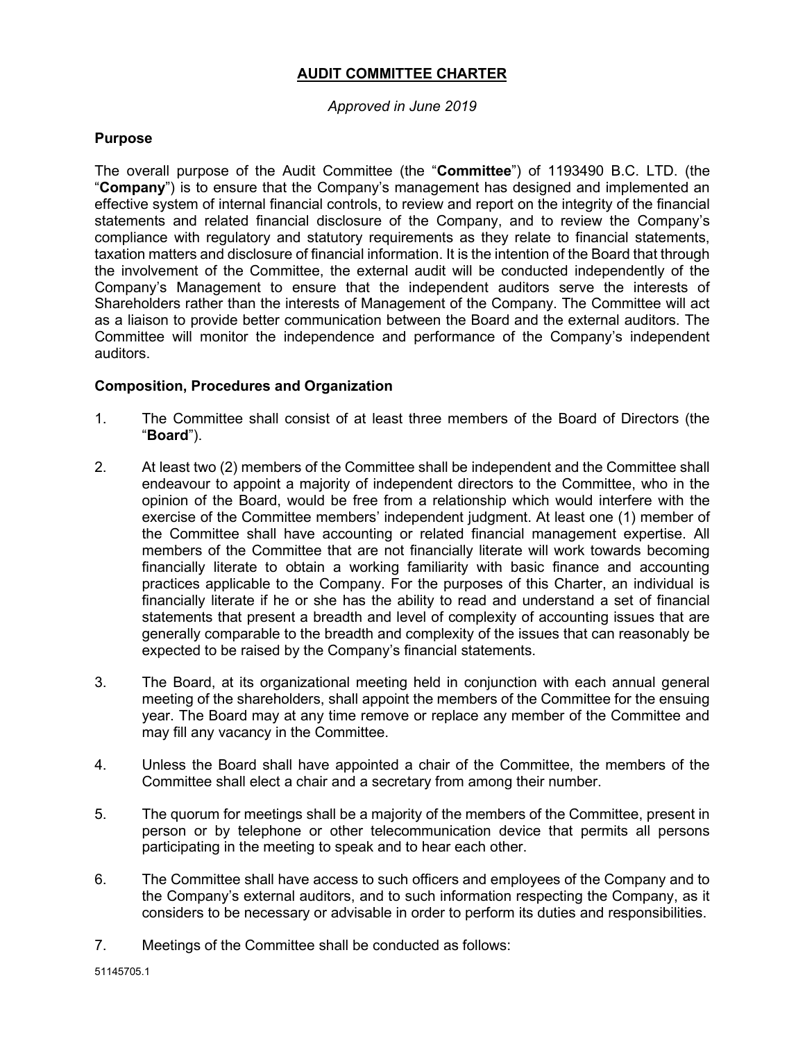# **AUDIT COMMITTEE CHARTER**

## *Approved in June 2019*

## **Purpose**

The overall purpose of the Audit Committee (the "**Committee**") of 1193490 B.C. LTD. (the "**Company**") is to ensure that the Company's management has designed and implemented an effective system of internal financial controls, to review and report on the integrity of the financial statements and related financial disclosure of the Company, and to review the Company's compliance with regulatory and statutory requirements as they relate to financial statements, taxation matters and disclosure of financial information. It is the intention of the Board that through the involvement of the Committee, the external audit will be conducted independently of the Company's Management to ensure that the independent auditors serve the interests of Shareholders rather than the interests of Management of the Company. The Committee will act as a liaison to provide better communication between the Board and the external auditors. The Committee will monitor the independence and performance of the Company's independent auditors.

## **Composition, Procedures and Organization**

- 1. The Committee shall consist of at least three members of the Board of Directors (the "**Board**").
- 2. At least two (2) members of the Committee shall be independent and the Committee shall endeavour to appoint a majority of independent directors to the Committee, who in the opinion of the Board, would be free from a relationship which would interfere with the exercise of the Committee members' independent judgment. At least one (1) member of the Committee shall have accounting or related financial management expertise. All members of the Committee that are not financially literate will work towards becoming financially literate to obtain a working familiarity with basic finance and accounting practices applicable to the Company. For the purposes of this Charter, an individual is financially literate if he or she has the ability to read and understand a set of financial statements that present a breadth and level of complexity of accounting issues that are generally comparable to the breadth and complexity of the issues that can reasonably be expected to be raised by the Company's financial statements.
- 3. The Board, at its organizational meeting held in conjunction with each annual general meeting of the shareholders, shall appoint the members of the Committee for the ensuing year. The Board may at any time remove or replace any member of the Committee and may fill any vacancy in the Committee.
- 4. Unless the Board shall have appointed a chair of the Committee, the members of the Committee shall elect a chair and a secretary from among their number.
- 5. The quorum for meetings shall be a majority of the members of the Committee, present in person or by telephone or other telecommunication device that permits all persons participating in the meeting to speak and to hear each other.
- 6. The Committee shall have access to such officers and employees of the Company and to the Company's external auditors, and to such information respecting the Company, as it considers to be necessary or advisable in order to perform its duties and responsibilities.
- 7. Meetings of the Committee shall be conducted as follows: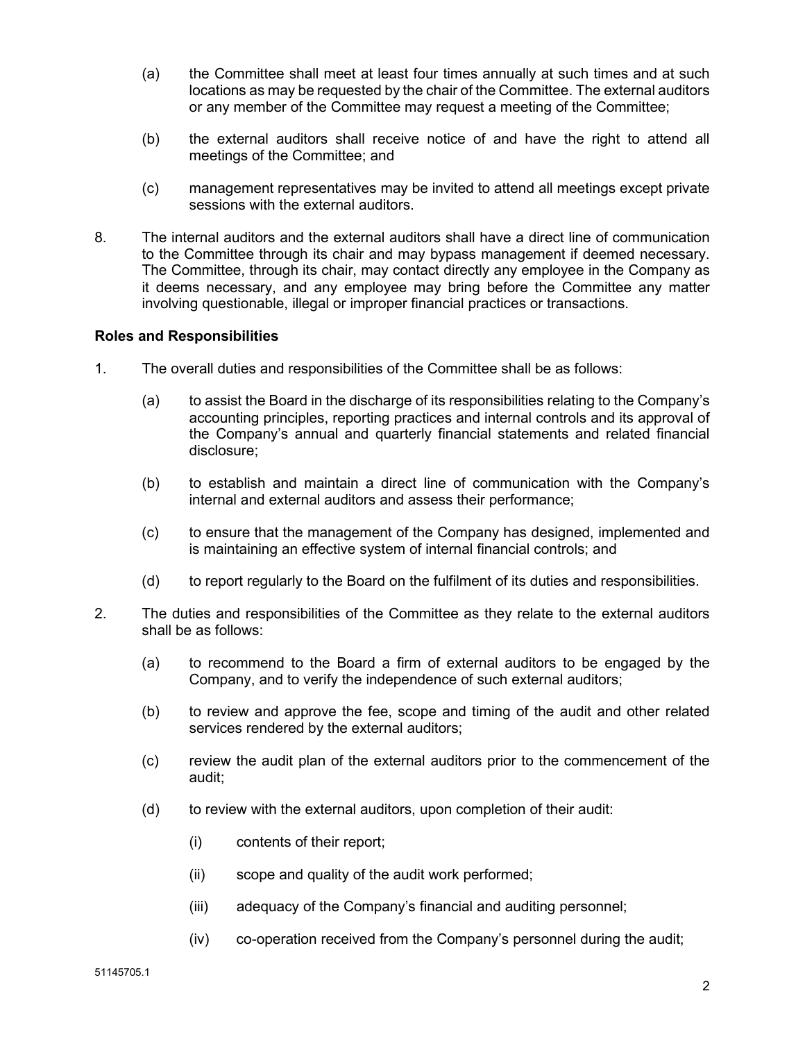- (a) the Committee shall meet at least four times annually at such times and at such locations as may be requested by the chair of the Committee. The external auditors or any member of the Committee may request a meeting of the Committee;
- (b) the external auditors shall receive notice of and have the right to attend all meetings of the Committee; and
- (c) management representatives may be invited to attend all meetings except private sessions with the external auditors.
- 8. The internal auditors and the external auditors shall have a direct line of communication to the Committee through its chair and may bypass management if deemed necessary. The Committee, through its chair, may contact directly any employee in the Company as it deems necessary, and any employee may bring before the Committee any matter involving questionable, illegal or improper financial practices or transactions.

#### **Roles and Responsibilities**

- 1. The overall duties and responsibilities of the Committee shall be as follows:
	- (a) to assist the Board in the discharge of its responsibilities relating to the Company's accounting principles, reporting practices and internal controls and its approval of the Company's annual and quarterly financial statements and related financial disclosure;
	- (b) to establish and maintain a direct line of communication with the Company's internal and external auditors and assess their performance;
	- (c) to ensure that the management of the Company has designed, implemented and is maintaining an effective system of internal financial controls; and
	- (d) to report regularly to the Board on the fulfilment of its duties and responsibilities.
- 2. The duties and responsibilities of the Committee as they relate to the external auditors shall be as follows:
	- (a) to recommend to the Board a firm of external auditors to be engaged by the Company, and to verify the independence of such external auditors;
	- (b) to review and approve the fee, scope and timing of the audit and other related services rendered by the external auditors;
	- (c) review the audit plan of the external auditors prior to the commencement of the audit;
	- (d) to review with the external auditors, upon completion of their audit:
		- (i) contents of their report;
		- (ii) scope and quality of the audit work performed;
		- (iii) adequacy of the Company's financial and auditing personnel;
		- (iv) co-operation received from the Company's personnel during the audit;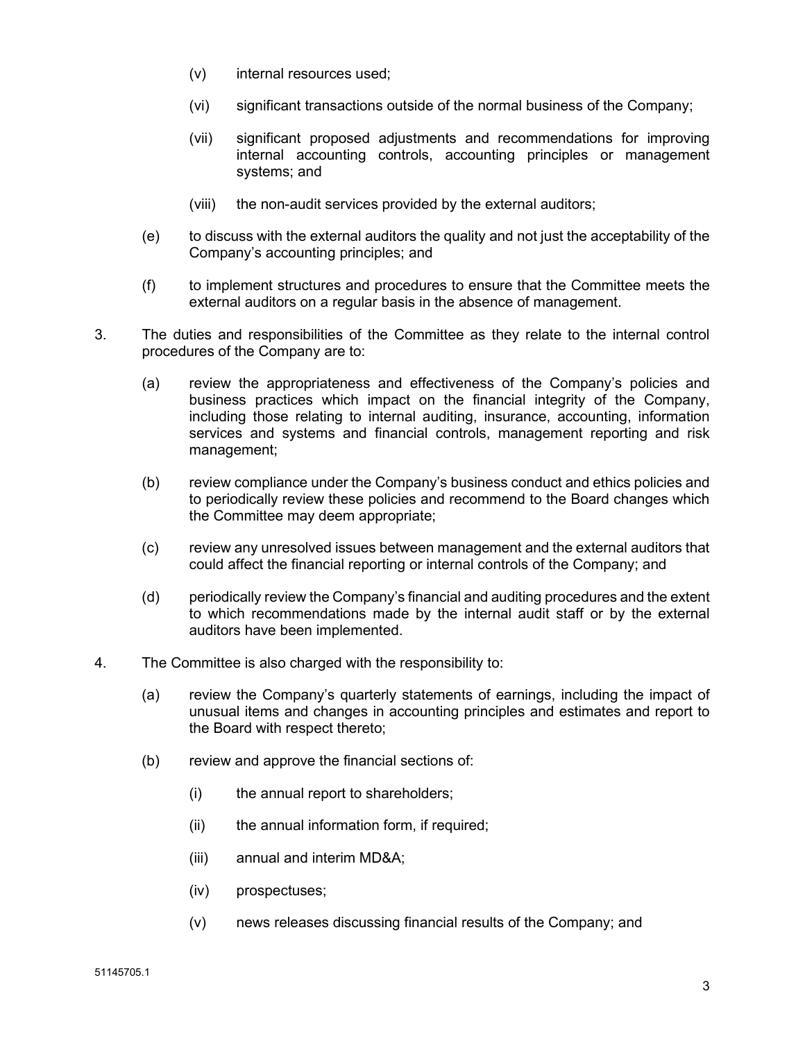- (v) internal resources used;
- (vi) significant transactions outside of the normal business of the Company;
- (vii) significant proposed adjustments and recommendations for improving internal accounting controls, accounting principles or management systems; and
- (viii) the non-audit services provided by the external auditors;
- (e) to discuss with the external auditors the quality and not just the acceptability of the Company's accounting principles; and
- (f) to implement structures and procedures to ensure that the Committee meets the external auditors on a regular basis in the absence of management.
- 3. The duties and responsibilities of the Committee as they relate to the internal control procedures of the Company are to:
	- (a) review the appropriateness and effectiveness of the Company's policies and business practices which impact on the financial integrity of the Company, including those relating to internal auditing, insurance, accounting, information services and systems and financial controls, management reporting and risk management;
	- (b) review compliance under the Company's business conduct and ethics policies and to periodically review these policies and recommend to the Board changes which the Committee may deem appropriate;
	- (c) review any unresolved issues between management and the external auditors that could affect the financial reporting or internal controls of the Company; and
	- (d) periodically review the Company's financial and auditing procedures and the extent to which recommendations made by the internal audit staff or by the external auditors have been implemented.
- 4. The Committee is also charged with the responsibility to:
	- (a) review the Company's quarterly statements of earnings, including the impact of unusual items and changes in accounting principles and estimates and report to the Board with respect thereto;
	- (b) review and approve the financial sections of:
		- (i) the annual report to shareholders;
		- (ii) the annual information form, if required;
		- (iii) annual and interim MD&A;
		- (iv) prospectuses;
		- (v) news releases discussing financial results of the Company; and